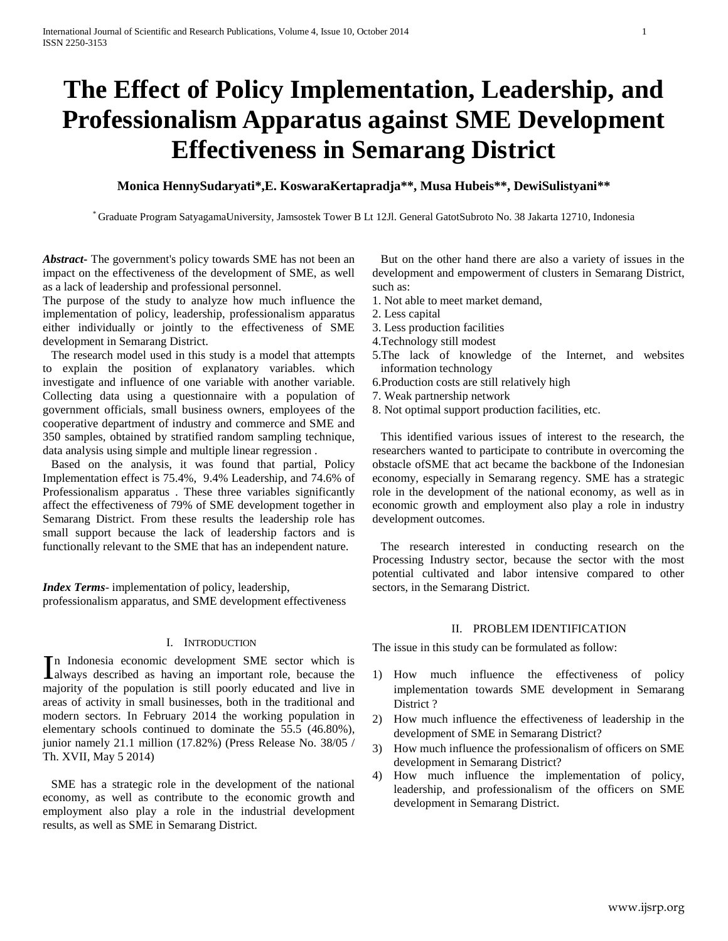# **The Effect of Policy Implementation, Leadership, and Professionalism Apparatus against SME Development Effectiveness in Semarang District**

# **Monica HennySudaryati\*,E. KoswaraKertapradja\*\*, Musa Hubeis\*\*, DewiSulistyani\*\***

\* Graduate Program SatyagamaUniversity, Jamsostek Tower B Lt 12Jl. General GatotSubroto No. 38 Jakarta 12710, Indonesia

*Abstract***-** The government's policy towards SME has not been an impact on the effectiveness of the development of SME, as well as a lack of leadership and professional personnel.

The purpose of the study to analyze how much influence the implementation of policy, leadership, professionalism apparatus either individually or jointly to the effectiveness of SME development in Semarang District.

The research model used in this study is a model that attempts to explain the position of explanatory variables. which investigate and influence of one variable with another variable. Collecting data using a questionnaire with a population of government officials, small business owners, employees of the cooperative department of industry and commerce and SME and 350 samples, obtained by stratified random sampling technique, data analysis using simple and multiple linear regression .

Based on the analysis, it was found that partial, Policy Implementation effect is 75.4%, 9.4% Leadership, and 74.6% of Professionalism apparatus . These three variables significantly affect the effectiveness of 79% of SME development together in Semarang District. From these results the leadership role has small support because the lack of leadership factors and is functionally relevant to the SME that has an independent nature.

*Index Terms*- implementation of policy, leadership, professionalism apparatus, and SME development effectiveness

#### I. INTRODUCTION

n Indonesia economic development SME sector which is In Indonesia economic development SME sector which is always described as having an important role, because the majority of the population is still poorly educated and live in areas of activity in small businesses, both in the traditional and modern sectors. In February 2014 the working population in elementary schools continued to dominate the 55.5 (46.80%), junior namely 21.1 million (17.82%) (Press Release No. 38/05 / Th. XVII, May 5 2014)

SME has a strategic role in the development of the national economy, as well as contribute to the economic growth and employment also play a role in the industrial development results, as well as SME in Semarang District.

But on the other hand there are also a variety of issues in the development and empowerment of clusters in Semarang District, such as:

- 1. Not able to meet market demand,
- 2. Less capital
- 3. Less production facilities
- 4.Technology still modest
- 5.The lack of knowledge of the Internet, and websites information technology
- 6.Production costs are still relatively high
- 7. Weak partnership network
- 8. Not optimal support production facilities, etc.

This identified various issues of interest to the research, the researchers wanted to participate to contribute in overcoming the obstacle ofSME that act became the backbone of the Indonesian economy, especially in Semarang regency. SME has a strategic role in the development of the national economy, as well as in economic growth and employment also play a role in industry development outcomes.

The research interested in conducting research on the Processing Industry sector, because the sector with the most potential cultivated and labor intensive compared to other sectors, in the Semarang District.

### II. PROBLEM IDENTIFICATION

The issue in this study can be formulated as follow:

- 1) How much influence the effectiveness of policy implementation towards SME development in Semarang District ?
- 2) How much influence the effectiveness of leadership in the development of SME in Semarang District?
- 3) How much influence the professionalism of officers on SME development in Semarang District?
- 4) How much influence the implementation of policy, leadership, and professionalism of the officers on SME development in Semarang District.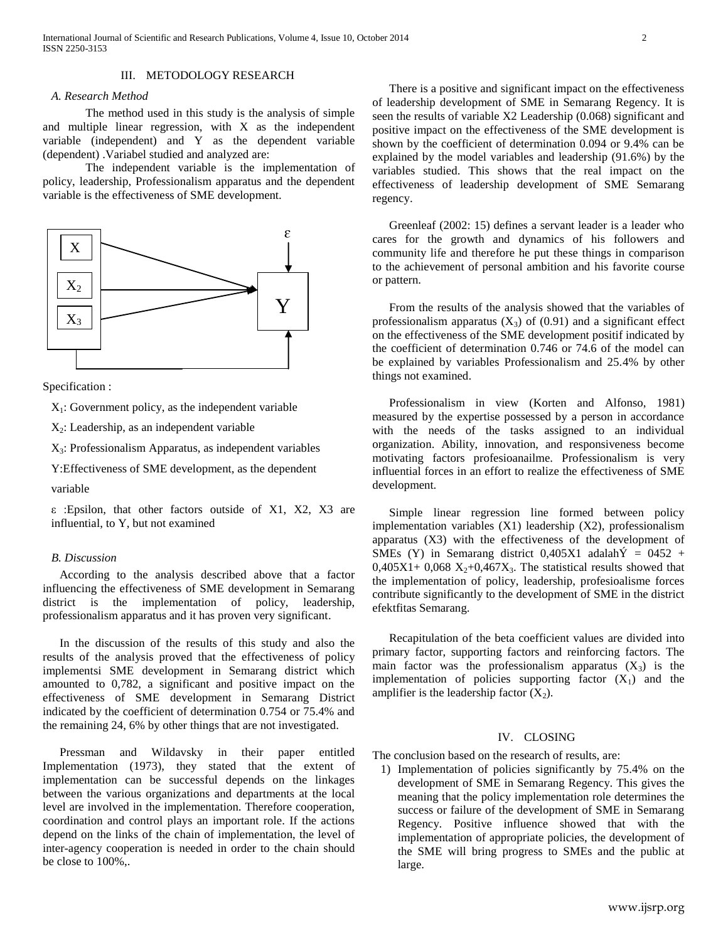### III. METODOLOGY RESEARCH

#### *A. Research Method*

The method used in this study is the analysis of simple and multiple linear regression, with X as the independent variable (independent) and Y as the dependent variable (dependent) .Variabel studied and analyzed are:

The independent variable is the implementation of policy, leadership, Professionalism apparatus and the dependent variable is the effectiveness of SME development.



Specification :

 $X_1$ : Government policy, as the independent variable

 $X<sub>2</sub>$ : Leadership, as an independent variable

 $X_3$ : Professionalism Apparatus, as independent variables

Y:Effectiveness of SME development, as the dependent

variable

ε :Epsilon, that other factors outside of X1, X2, X3 are influential, to Y, but not examined

#### *B. Discussion*

According to the analysis described above that a factor influencing the effectiveness of SME development in Semarang district is the implementation of policy, leadership, professionalism apparatus and it has proven very significant.

In the discussion of the results of this study and also the results of the analysis proved that the effectiveness of policy implementsi SME development in Semarang district which amounted to 0,782, a significant and positive impact on the effectiveness of SME development in Semarang District indicated by the coefficient of determination 0.754 or 75.4% and the remaining 24, 6% by other things that are not investigated.

Pressman and Wildavsky in their paper entitled Implementation (1973), they stated that the extent of implementation can be successful depends on the linkages between the various organizations and departments at the local level are involved in the implementation. Therefore cooperation, coordination and control plays an important role. If the actions depend on the links of the chain of implementation, the level of inter-agency cooperation is needed in order to the chain should be close to 100%,.

There is a positive and significant impact on the effectiveness of leadership development of SME in Semarang Regency. It is seen the results of variable X2 Leadership (0.068) significant and positive impact on the effectiveness of the SME development is shown by the coefficient of determination 0.094 or 9.4% can be explained by the model variables and leadership (91.6%) by the variables studied. This shows that the real impact on the effectiveness of leadership development of SME Semarang regency.

Greenleaf (2002: 15) defines a servant leader is a leader who cares for the growth and dynamics of his followers and community life and therefore he put these things in comparison to the achievement of personal ambition and his favorite course or pattern.

From the results of the analysis showed that the variables of professionalism apparatus  $(X_3)$  of  $(0.91)$  and a significant effect on the effectiveness of the SME development positif indicated by the coefficient of determination 0.746 or 74.6 of the model can be explained by variables Professionalism and 25.4% by other things not examined.

Professionalism in view (Korten and Alfonso, 1981) measured by the expertise possessed by a person in accordance with the needs of the tasks assigned to an individual organization. Ability, innovation, and responsiveness become motivating factors profesioanailme. Professionalism is very influential forces in an effort to realize the effectiveness of SME development.

Simple linear regression line formed between policy implementation variables (X1) leadership (X2), professionalism apparatus (X3) with the effectiveness of the development of SMEs (Y) in Semarang district 0,405X1 adalah $\acute{Y}$  = 0452 +  $0,405X1+0,068$   $X_2+0,467X_3$ . The statistical results showed that the implementation of policy, leadership, profesioalisme forces contribute significantly to the development of SME in the district efektfitas Semarang.

Recapitulation of the beta coefficient values are divided into primary factor, supporting factors and reinforcing factors. The main factor was the professionalism apparatus  $(X_3)$  is the implementation of policies supporting factor  $(X_1)$  and the amplifier is the leadership factor  $(X_2)$ .

## IV. CLOSING

The conclusion based on the research of results, are:

1) Implementation of policies significantly by 75.4% on the development of SME in Semarang Regency. This gives the meaning that the policy implementation role determines the success or failure of the development of SME in Semarang Regency. Positive influence showed that with the implementation of appropriate policies, the development of the SME will bring progress to SMEs and the public at large.